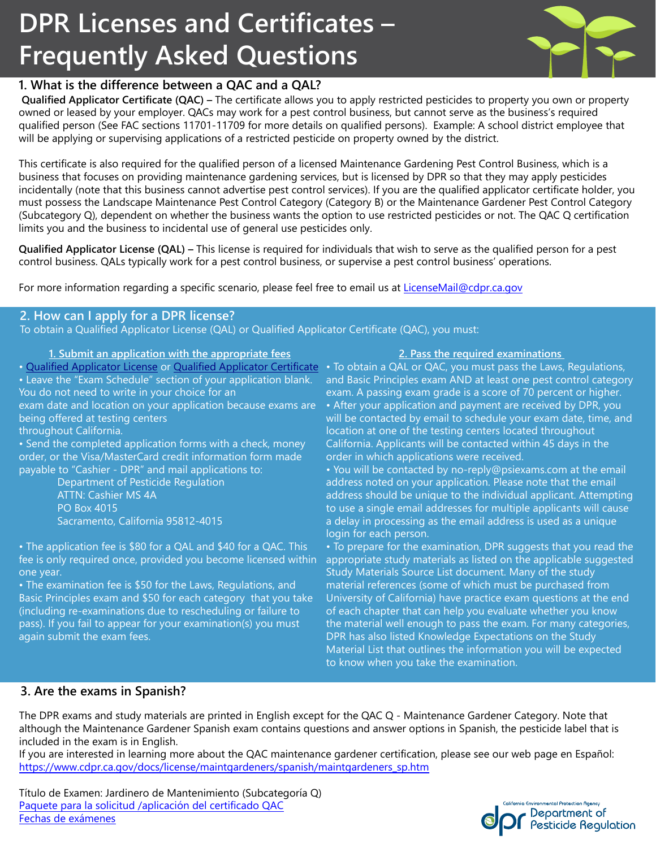# **DPR Licenses and Certificates – Frequently Asked Questions**



# **1. What is the difference between a QAC and a QAL?**

**Qualified Applicator Certificate (QAC) –** The certificate allows you to apply restricted pesticides to property you own or property owned or leased by your employer. QACs may work for a pest control business, but cannot serve as the business's required qualified person (See FAC sections 11701-11709 for more details on qualified persons). Example: A school district employee that will be applying or supervising applications of a restricted pesticide on property owned by the district.

This certificate is also required for the qualified person of a licensed Maintenance Gardening Pest Control Business, which is a business that focuses on providing maintenance gardening services, but is licensed by DPR so that they may apply pesticides incidentally (note that this business cannot advertise pest control services). If you are the qualified applicator certificate holder, you must possess the Landscape Maintenance Pest Control Category (Category B) or the Maintenance Gardener Pest Control Category (Subcategory Q), dependent on whether the business wants the option to use restricted pesticides or not. The QAC Q certification limits you and the business to incidental use of general use pesticides only.

**Qualified Applicator License (QAL) –** This license is required for individuals that wish to serve as the qualified person for a pest control business. QALs typically work for a pest control business, or supervise a pest control business' operations.

For more information regarding a specific scenario, please feel free to email us at LicenseMail@cdpr.ca.gov

## **2. How can I apply for a DPR license?**

To obtain a Qualified Applicator License (QAL) or Qualified Applicator Certificate (QAC), you must:

### **1. Submit an application with the appropriate fees**

• Leave the "Exam Schedule" section of your application blank. You do not need to write in your choice for an

exam date and location on your application because exams are being offered at testing centers

throughout California.

• Send the completed application forms with a check, money order, or the Visa/MasterCard credit information form made payable to "Cashier - DPR" and mail applications to:

Department of Pesticide Regulation ATTN: Cashier MS 4A PO Box 4015 Sacramento, California 95812-4015

• The application fee is \$80 for a QAL and \$40 for a QAC. This one year.

• The examination fee is \$50 for the Laws, Regulations, and Basic Principles exam and \$50 for each category that you take (including re-examinations due to rescheduling or failure to pass). If you fail to appear for your examination(s) you must again submit the exam fees.

#### **2. Pass the required examinations**

• [Qualified Applicator License o](https://www.cdpr.ca.gov/docs/license/qal.htm)r [Qualified Applicator Certificate](https://www.cdpr.ca.gov/docs/license/qac.htm) • To obtain a QAL or QAC, you must pass the Laws, Regulations, and Basic Principles exam AND at least one pest control category exam. A passing exam grade is a score of 70 percent or higher. • After your application and payment are received by DPR, you will be contacted by email to schedule your exam date, time, and location at one of the testing centers located throughout California. Applicants will be contacted within 45 days in the order in which applications were received.

• You will be contacted by [no-reply@psiexams.com](mailto:no-reply@psiexams.com) at the email address noted on your application. Please note that the email address should be unique to the individual applicant. Attempting to use a single email addresses for multiple applicants will cause a delay in processing as the email address is used as a unique login for each person.

fee is only required once, provided you become licensed within appropriate study materials as listed on the applicable suggested • To prepare for the examination, DPR suggests that you read the Study Materials Source List document. Many of the study material references (some of which must be purchased from University of California) have practice exam questions at the end of each chapter that can help you evaluate whether you know the material well enough to pass the exam. For many categories, DPR has also listed Knowledge Expectations on the Study Material List that outlines the information you will be expected to know when you take the examination.

# **3. Are the exams in Spanish?**

The DPR exams and study materials are printed in English except for the QAC Q - Maintenance Gardener Category. Note that although the Maintenance Gardener Spanish exam contains questions and answer options in Spanish, the pesticide label that is included in the exam is in English.

If you are interested in learning more about the QAC maintenance gardener certification, please see our web page en Español: [https://www.cdpr.ca.gov/docs/license/maintgardeners/spanish/maintgardeners\\_sp.htm](https://www.cdpr.ca.gov/docs/license/maintgardeners/spanish/maintgardeners_sp.htm) 

Título de Examen: Jardinero de Mantenimiento (Subcategoría Q) [Paquete para la solicitud /aplicación del certificado QAC](https://www.cdpr.ca.gov/docs/license/maintgardeners/spanish/maintgardeners_sp.htm)  [Fechas de exámenes](https://www.cdpr.ca.gov/docs/license/spanish/exam_sched_sp.pdf)